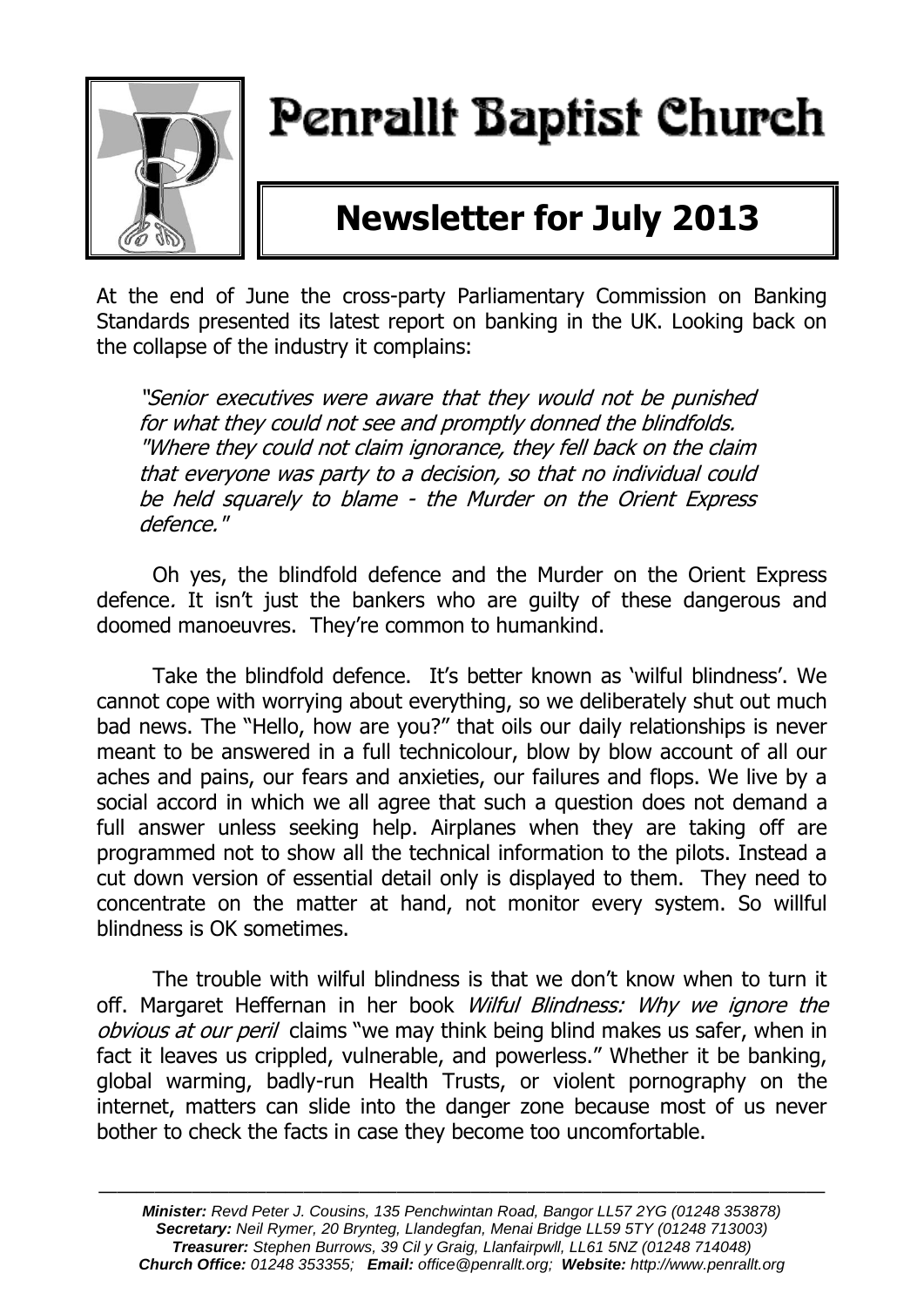

# Penrallt Baptist Church

# **Newsletter for July 2013**

At the end of June the cross-party Parliamentary Commission on Banking Standards presented its latest report on banking in the UK. Looking back on the collapse of the industry it complains:

"Senior executives were aware that they would not be punished for what they could not see and promptly donned the blindfolds. "Where they could not claim ignorance, they fell back on the claim that everyone was party to a decision, so that no individual could be held squarely to blame - the Murder on the Orient Express defence."

Oh yes, the blindfold defence and the Murder on the Orient Express defence. It isn't just the bankers who are guilty of these dangerous and doomed manoeuvres. They're common to humankind.

Take the blindfold defence. It's better known as 'wilful blindness'. We cannot cope with worrying about everything, so we deliberately shut out much bad news. The "Hello, how are you?" that oils our daily relationships is never meant to be answered in a full technicolour, blow by blow account of all our aches and pains, our fears and anxieties, our failures and flops. We live by a social accord in which we all agree that such a question does not demand a full answer unless seeking help. Airplanes when they are taking off are programmed not to show all the technical information to the pilots. Instead a cut down version of essential detail only is displayed to them. They need to concentrate on the matter at hand, not monitor every system. So willful blindness is OK sometimes.

The trouble with wilful blindness is that we don't know when to turn it off. Margaret Heffernan in her book Wilful Blindness: Why we ignore the obvious at our peril claims "we may think being blind makes us safer, when in fact it leaves us crippled, vulnerable, and powerless." Whether it be banking, global warming, badly-run Health Trusts, or violent pornography on the internet, matters can slide into the danger zone because most of us never bother to check the facts in case they become too uncomfortable.

———————————————————————————————————————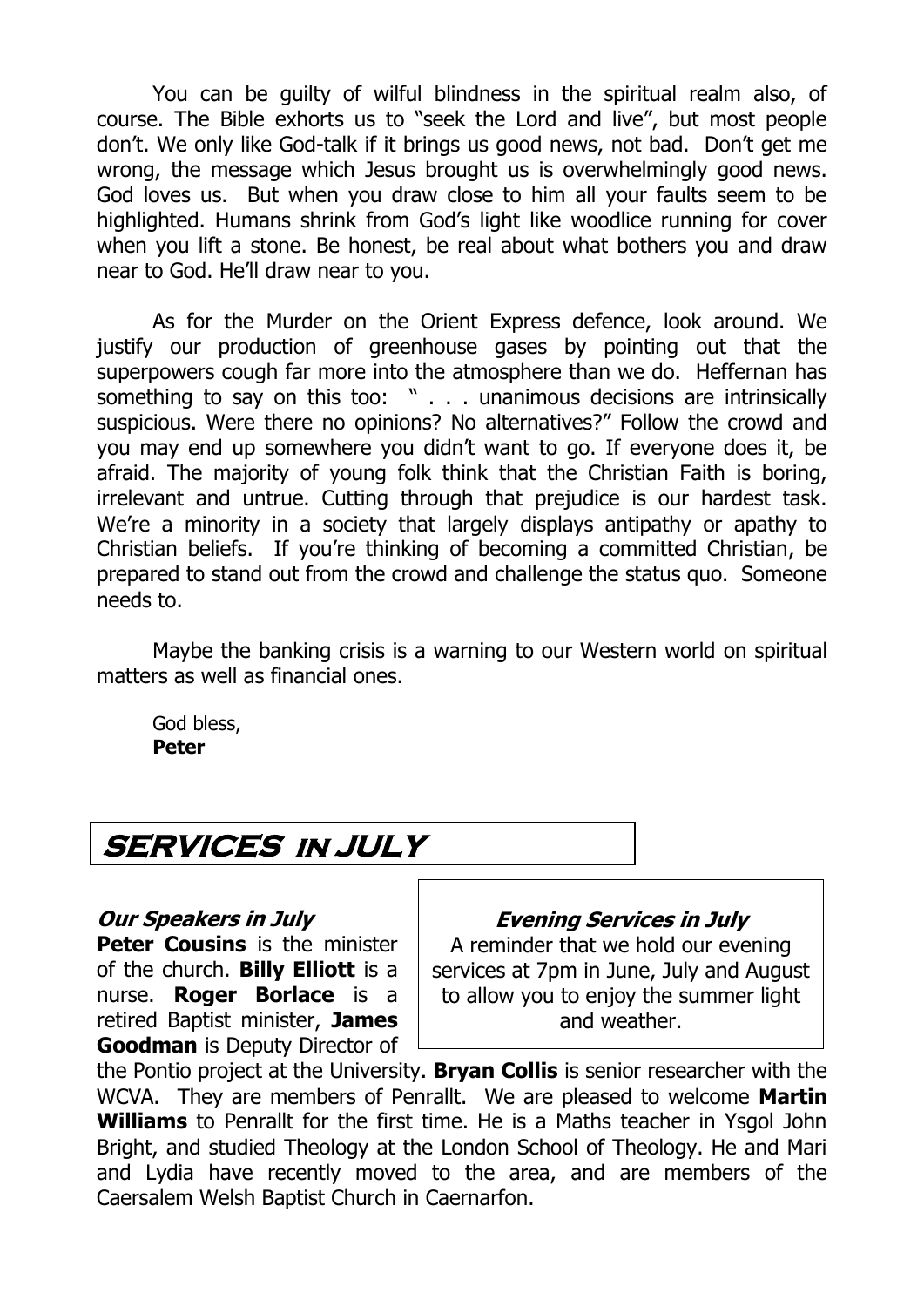You can be guilty of wilful blindness in the spiritual realm also, of course. The Bible exhorts us to "seek the Lord and live", but most people don't. We only like God-talk if it brings us good news, not bad. Don't get me wrong, the message which Jesus brought us is overwhelmingly good news. God loves us. But when you draw close to him all your faults seem to be highlighted. Humans shrink from God's light like woodlice running for cover when you lift a stone. Be honest, be real about what bothers you and draw near to God. He'll draw near to you.

As for the Murder on the Orient Express defence, look around. We justify our production of greenhouse gases by pointing out that the superpowers cough far more into the atmosphere than we do. Heffernan has something to say on this too: " . . . unanimous decisions are intrinsically suspicious. Were there no opinions? No alternatives?" Follow the crowd and you may end up somewhere you didn't want to go. If everyone does it, be afraid. The majority of young folk think that the Christian Faith is boring, irrelevant and untrue. Cutting through that prejudice is our hardest task. We're a minority in a society that largely displays antipathy or apathy to Christian beliefs. If you're thinking of becoming a committed Christian, be prepared to stand out from the crowd and challenge the status quo. Someone needs to.

Maybe the banking crisis is a warning to our Western world on spiritual matters as well as financial ones.

God bless, **Peter** 

# **SERVICES in JULY**

### **Our Speakers in July**

**Peter Cousins** is the minister of the church. **Billy Elliott** is a nurse. **Roger Borlace** is a retired Baptist minister, **James Goodman** is Deputy Director of

### **Evening Services in July**

A reminder that we hold our evening services at 7pm in June, July and August to allow you to enjoy the summer light and weather.

the Pontio project at the University. **Bryan Collis** is senior researcher with the WCVA. They are members of Penrallt. We are pleased to welcome **Martin Williams** to Penrallt for the first time. He is a Maths teacher in Ysgol John Bright, and studied Theology at the London School of Theology. He and Mari and Lydia have recently moved to the area, and are members of the Caersalem Welsh Baptist Church in Caernarfon.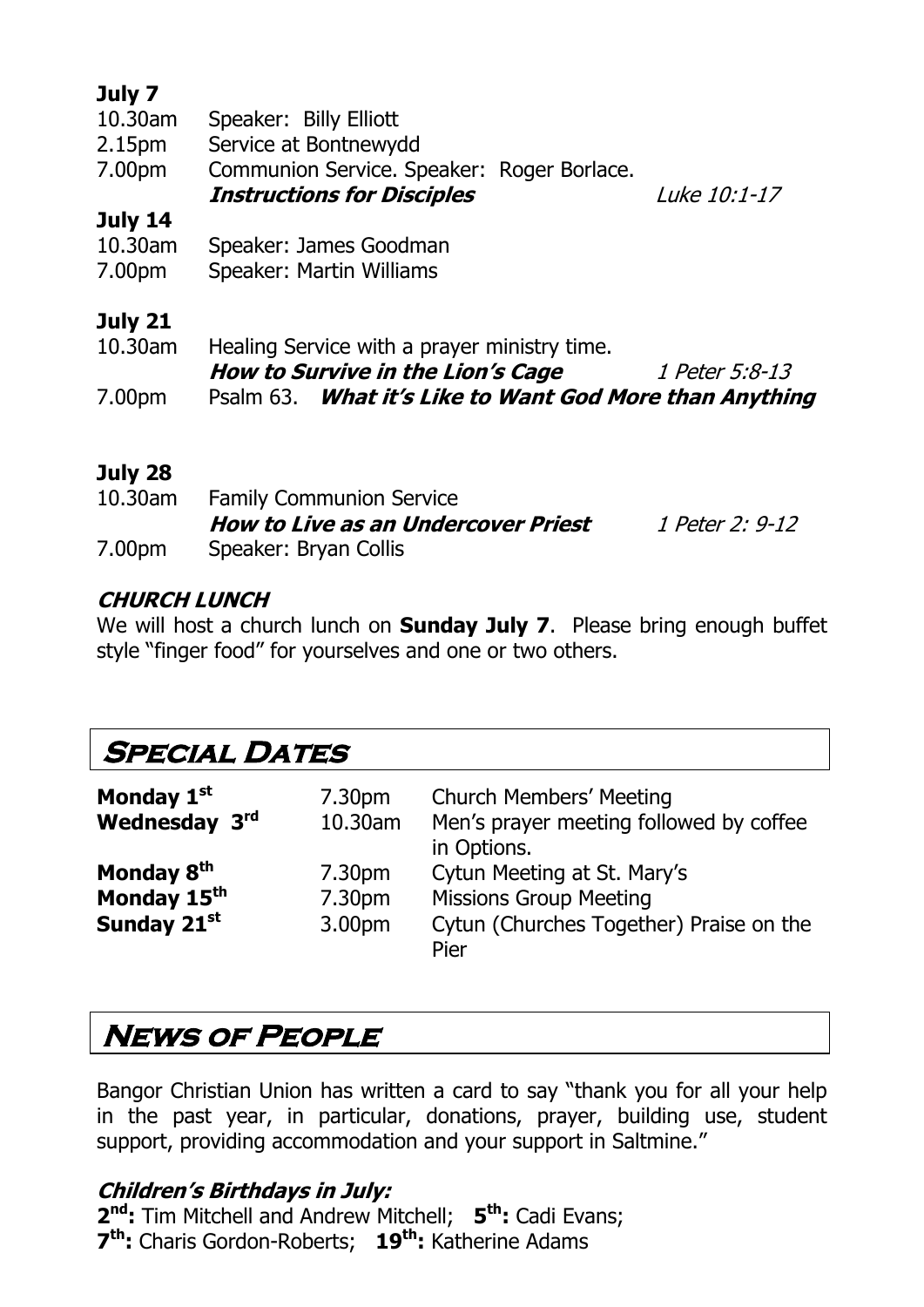### **July 7**

| 10.30am            | Speaker: Billy Elliott                     |              |
|--------------------|--------------------------------------------|--------------|
| 2.15 <sub>pm</sub> | Service at Bontnewydd                      |              |
| 7.00pm             | Communion Service. Speaker: Roger Borlace. |              |
|                    | <b>Instructions for Disciples</b>          | Luke 10:1-17 |
| July 14            |                                            |              |
| 10.30am            | Speaker: James Goodman                     |              |
| 7.00pm             | Speaker: Martin Williams                   |              |
|                    |                                            |              |
| July 21            |                                            |              |

| 10.30am | Healing Service with a prayer ministry time.            |                |
|---------|---------------------------------------------------------|----------------|
|         | How to Survive in the Lion's Cage                       | 1 Peter 5:8-13 |
| 7.00pm  | Psalm 63. What it's Like to Want God More than Anything |                |

### **July 28**

| $10.30$ am | <b>Family Communion Service</b>     |                 |
|------------|-------------------------------------|-----------------|
|            | How to Live as an Undercover Priest | 1 Peter 2: 9-12 |
| 7.00pm     | Speaker: Bryan Collis               |                 |

### **CHURCH LUNCH**

We will host a church lunch on **Sunday July 7**. Please bring enough buffet style "finger food" for yourselves and one or two others.

# **Special Dates**

| Monday 1 <sup>st</sup><br>Wednesday 3rd                          | 7.30pm<br>10.30am                      | <b>Church Members' Meeting</b><br>Men's prayer meeting followed by coffee<br>in Options.                        |
|------------------------------------------------------------------|----------------------------------------|-----------------------------------------------------------------------------------------------------------------|
| Monday 8 <sup>th</sup><br>Monday 15 <sup>th</sup><br>Sunday 21st | 7.30 <sub>pm</sub><br>7.30pm<br>3.00pm | Cytun Meeting at St. Mary's<br><b>Missions Group Meeting</b><br>Cytun (Churches Together) Praise on the<br>Pier |

# **News of People**

Bangor Christian Union has written a card to say "thank you for all your help in the past year, in particular, donations, prayer, building use, student support, providing accommodation and your support in Saltmine."

### **Children's Birthdays in July:**

**2 nd:** Tim Mitchell and Andrew Mitchell; **5 th:** Cadi Evans; **7 th:** Charis Gordon-Roberts; **19th:** Katherine Adams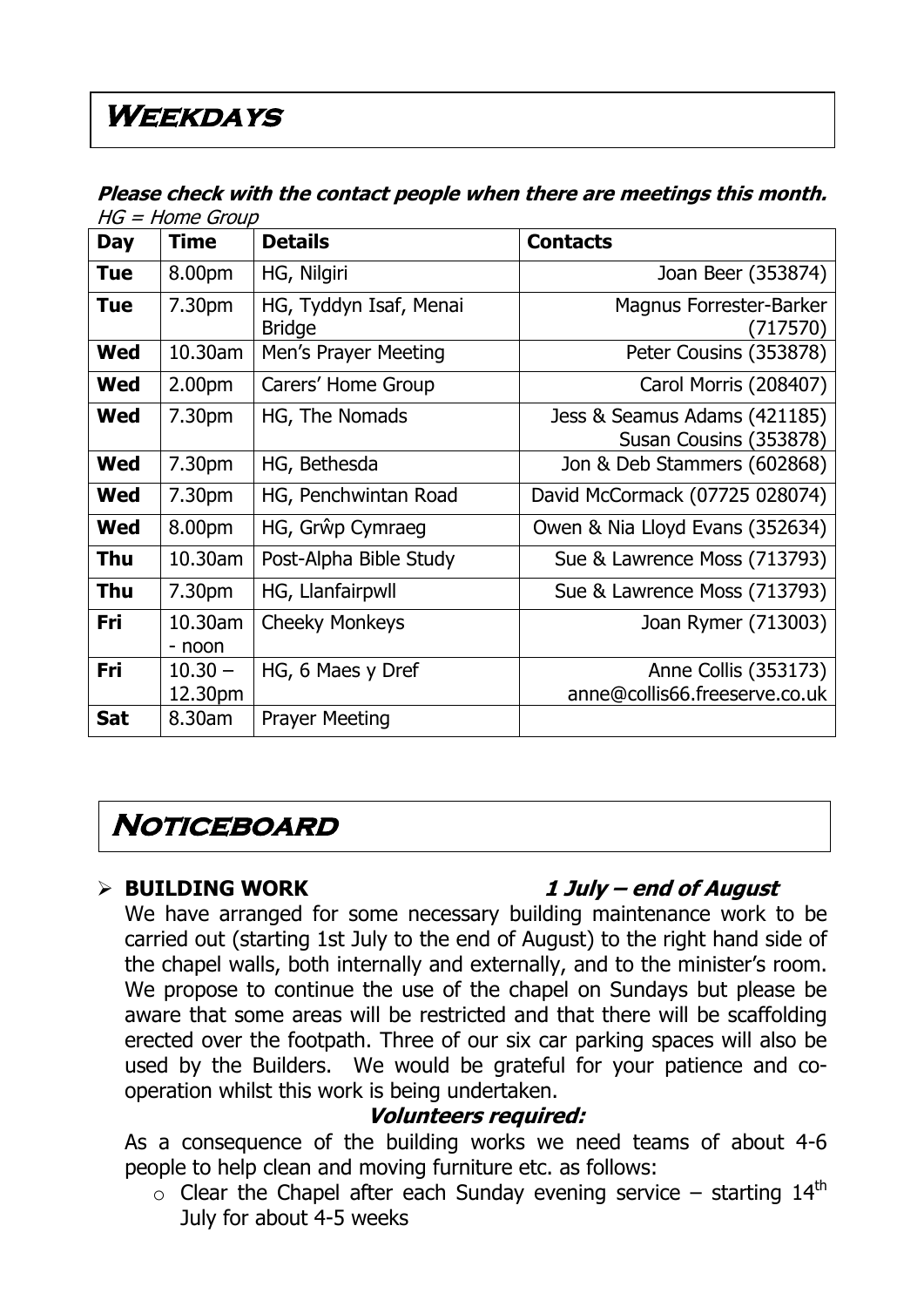# **Weekdays**

|            | $\mu$ שט ש $\sigma$ שווטו – טו |                                         |                                                        |  |  |
|------------|--------------------------------|-----------------------------------------|--------------------------------------------------------|--|--|
| <b>Day</b> | <b>Time</b>                    | <b>Details</b>                          | <b>Contacts</b>                                        |  |  |
| <b>Tue</b> | 8.00pm                         | HG, Nilgiri                             | Joan Beer (353874)                                     |  |  |
| <b>Tue</b> | 7.30pm                         | HG, Tyddyn Isaf, Menai<br><b>Bridge</b> | Magnus Forrester-Barker<br>(717570)                    |  |  |
| <b>Wed</b> | 10.30am                        | Men's Prayer Meeting                    | Peter Cousins (353878)                                 |  |  |
| Wed        | 2.00 <sub>pm</sub>             | Carers' Home Group                      | Carol Morris (208407)                                  |  |  |
| <b>Wed</b> | 7.30pm                         | HG, The Nomads                          | Jess & Seamus Adams (421185)<br>Susan Cousins (353878) |  |  |
| <b>Wed</b> | 7.30pm                         | HG, Bethesda                            | Jon & Deb Stammers (602868)                            |  |  |
| <b>Wed</b> | 7.30pm                         | HG, Penchwintan Road                    | David McCormack (07725 028074)                         |  |  |
| <b>Wed</b> | 8.00pm                         | HG, Grŵp Cymraeg                        | Owen & Nia Lloyd Evans (352634)                        |  |  |
| <b>Thu</b> | 10.30am                        | Post-Alpha Bible Study                  | Sue & Lawrence Moss (713793)                           |  |  |
| <b>Thu</b> | 7.30pm                         | HG, Llanfairpwll                        | Sue & Lawrence Moss (713793)                           |  |  |
| Fri        | 10.30am<br>- noon              | <b>Cheeky Monkeys</b>                   | Joan Rymer (713003)                                    |  |  |
| Fri        | $10.30 -$<br>12.30pm           | HG, 6 Maes y Dref                       | Anne Collis (353173)<br>anne@collis66.freeserve.co.uk  |  |  |
| <b>Sat</b> | 8.30am                         | <b>Prayer Meeting</b>                   |                                                        |  |  |

### **Please check with the contact people when there are meetings this month.**   $HG =$ Home Group

# **Noticeboard**

### **BUILDING WORK 1 July – end of August**

We have arranged for some necessary building maintenance work to be carried out (starting 1st July to the end of August) to the right hand side of the chapel walls, both internally and externally, and to the minister's room. We propose to continue the use of the chapel on Sundays but please be aware that some areas will be restricted and that there will be scaffolding erected over the footpath. Three of our six car parking spaces will also be used by the Builders. We would be grateful for your patience and cooperation whilst this work is being undertaken.

### **Volunteers required:**

As a consequence of the building works we need teams of about 4-6 people to help clean and moving furniture etc. as follows:

 $\circ$  Clear the Chapel after each Sunday evening service – starting 14<sup>th</sup> July for about 4-5 weeks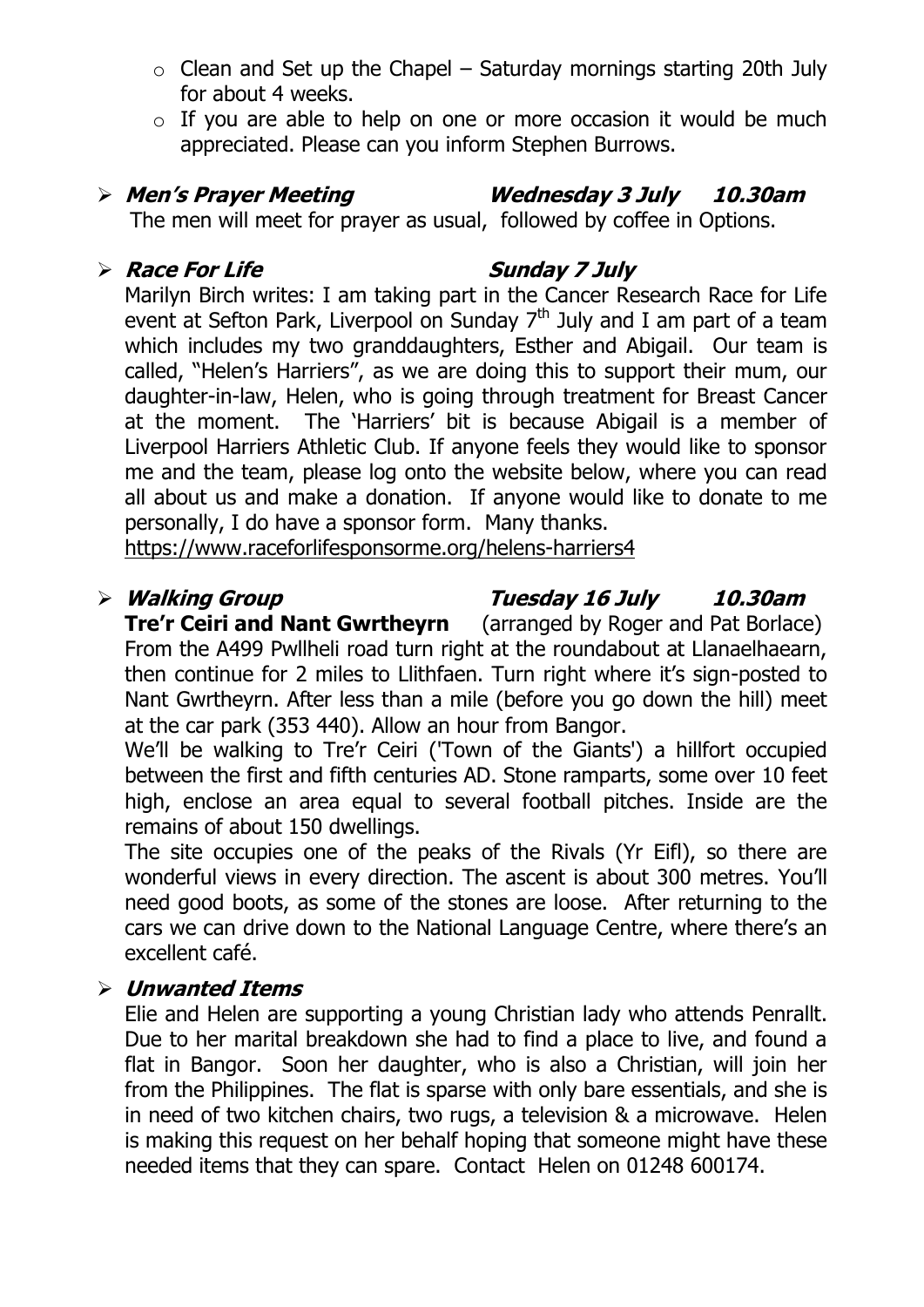- $\circ$  Clean and Set up the Chapel Saturday mornings starting 20th July for about 4 weeks.
- $\circ$  If you are able to help on one or more occasion it would be much appreciated. Please can you inform Stephen Burrows.

**Men's Prayer Meeting Wednesday 3 July 10.30am**

The men will meet for prayer as usual, followed by coffee in Options.

### **Race For Life Sunday 7 July**

Marilyn Birch writes: I am taking part in the Cancer Research Race for Life event at Sefton Park, Liverpool on Sunday  $7<sup>th</sup>$  July and I am part of a team which includes my two granddaughters, Esther and Abigail. Our team is called, "Helen's Harriers", as we are doing this to support their mum, our daughter-in-law, Helen, who is going through treatment for Breast Cancer at the moment. The 'Harriers' bit is because Abigail is a member of Liverpool Harriers Athletic Club. If anyone feels they would like to sponsor me and the team, please log onto the website below, where you can read all about us and make a donation. If anyone would like to donate to me personally, I do have a sponsor form. Many thanks.

<https://www.raceforlifesponsorme.org/helens-harriers4>

### **Walking Group Tuesday 16 July 10.30am**

**Tre'r Ceiri and Nant Gwrtheyrn** (arranged by Roger and Pat Borlace) From the A499 Pwllheli road turn right at the roundabout at Llanaelhaearn, then continue for 2 miles to Llithfaen. Turn right where it's sign-posted to Nant Gwrtheyrn. After less than a mile (before you go down the hill) meet at the car park (353 440). Allow an hour from Bangor.

We'll be walking to Tre'r Ceiri ('Town of the Giants') a hillfort occupied between the first and fifth centuries AD. Stone ramparts, some over 10 feet high, enclose an area equal to several football pitches. Inside are the remains of about 150 dwellings.

The site occupies one of the peaks of the Rivals (Yr Eifl), so there are wonderful views in every direction. The ascent is about 300 metres. You'll need good boots, as some of the stones are loose. After returning to the cars we can drive down to the National Language Centre, where there's an excellent café.

### **Unwanted Items**

Elie and Helen are supporting a young Christian lady who attends Penrallt. Due to her marital breakdown she had to find a place to live, and found a flat in Bangor. Soon her daughter, who is also a Christian, will join her from the Philippines. The flat is sparse with only bare essentials, and she is in need of two kitchen chairs, two rugs, a television & a microwave. Helen is making this request on her behalf hoping that someone might have these needed items that they can spare. Contact Helen on 01248 600174.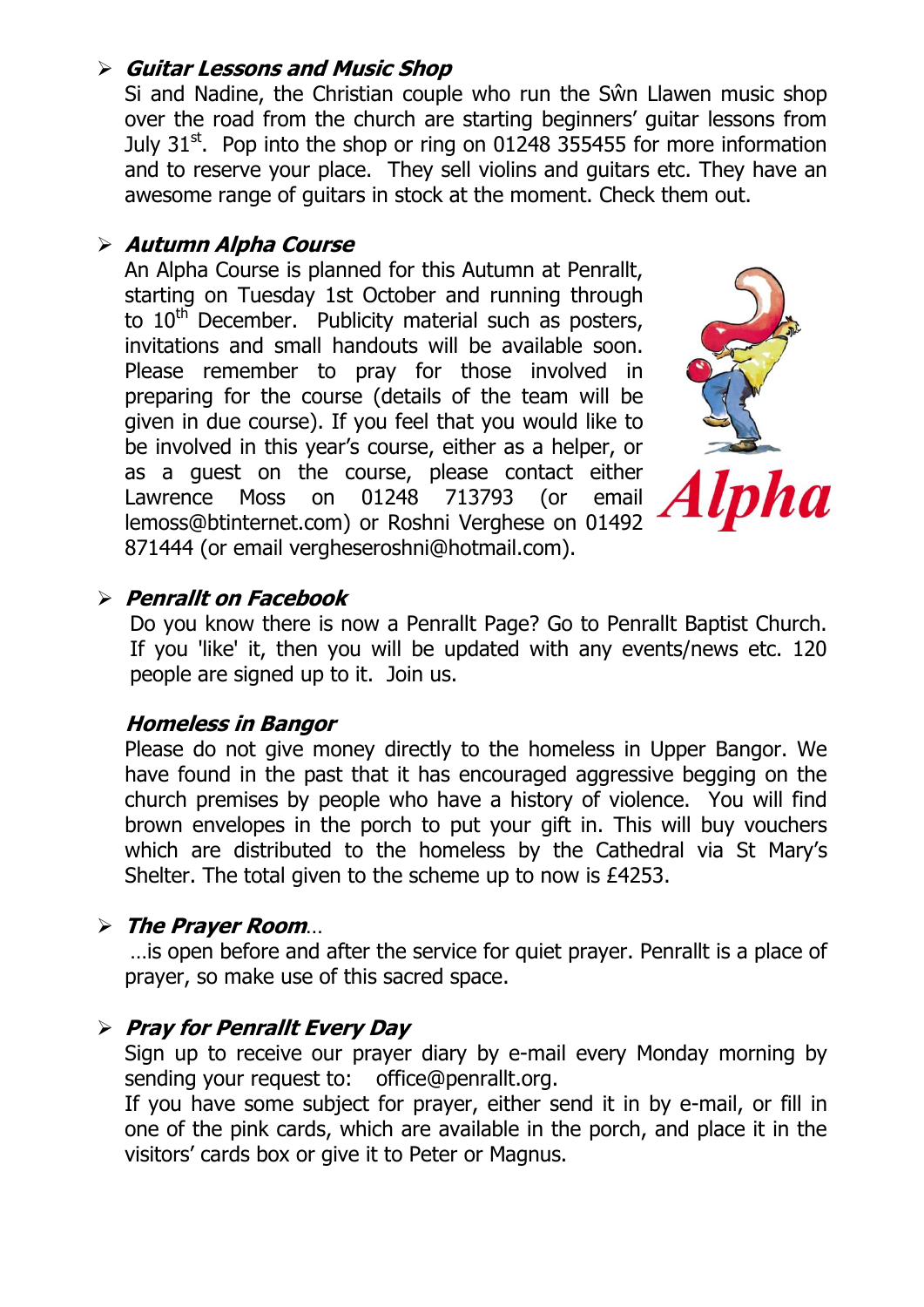### **Guitar Lessons and Music Shop**

Si and Nadine, the Christian couple who run the Sŵn Llawen music shop over the road from the church are starting beginners' guitar lessons from July  $31<sup>st</sup>$ . Pop into the shop or ring on 01248 355455 for more information and to reserve your place. They sell violins and guitars etc. They have an awesome range of guitars in stock at the moment. Check them out.

### **Autumn Alpha Course**

An Alpha Course is planned for this Autumn at Penrallt, starting on Tuesday 1st October and running through to  $10<sup>th</sup>$  December. Publicity material such as posters, invitations and small handouts will be available soon. Please remember to pray for those involved in preparing for the course (details of the team will be given in due course). If you feel that you would like to be involved in this year's course, either as a helper, or as a guest on the course, please contact either Lawrence Moss on 01248 713793 (or email lemoss@btinternet.com) or Roshni Verghese on 01492 871444 (or email vergheseroshni@hotmail.com).



### **Penrallt on Facebook**

Do you know there is now a Penrallt Page? Go to Penrallt Baptist Church. If you 'like' it, then you will be updated with any events/news etc. 120 people are signed up to it. Join us.

### **Homeless in Bangor**

Please do not give money directly to the homeless in Upper Bangor. We have found in the past that it has encouraged aggressive begging on the church premises by people who have a history of violence. You will find brown envelopes in the porch to put your gift in. This will buy vouchers which are distributed to the homeless by the Cathedral via St Mary's Shelter. The total given to the scheme up to now is £4253.

### **The Prayer Room**…

…is open before and after the service for quiet prayer. Penrallt is a place of prayer, so make use of this sacred space.

### **Pray for Penrallt Every Day**

Sign up to receive our prayer diary by e-mail every Monday morning by sending your request to: [office@penrallt.org.](mailto:office@penrallt.org)

If you have some subject for prayer, either send it in by e-mail, or fill in one of the pink cards, which are available in the porch, and place it in the visitors' cards box or give it to Peter or Magnus.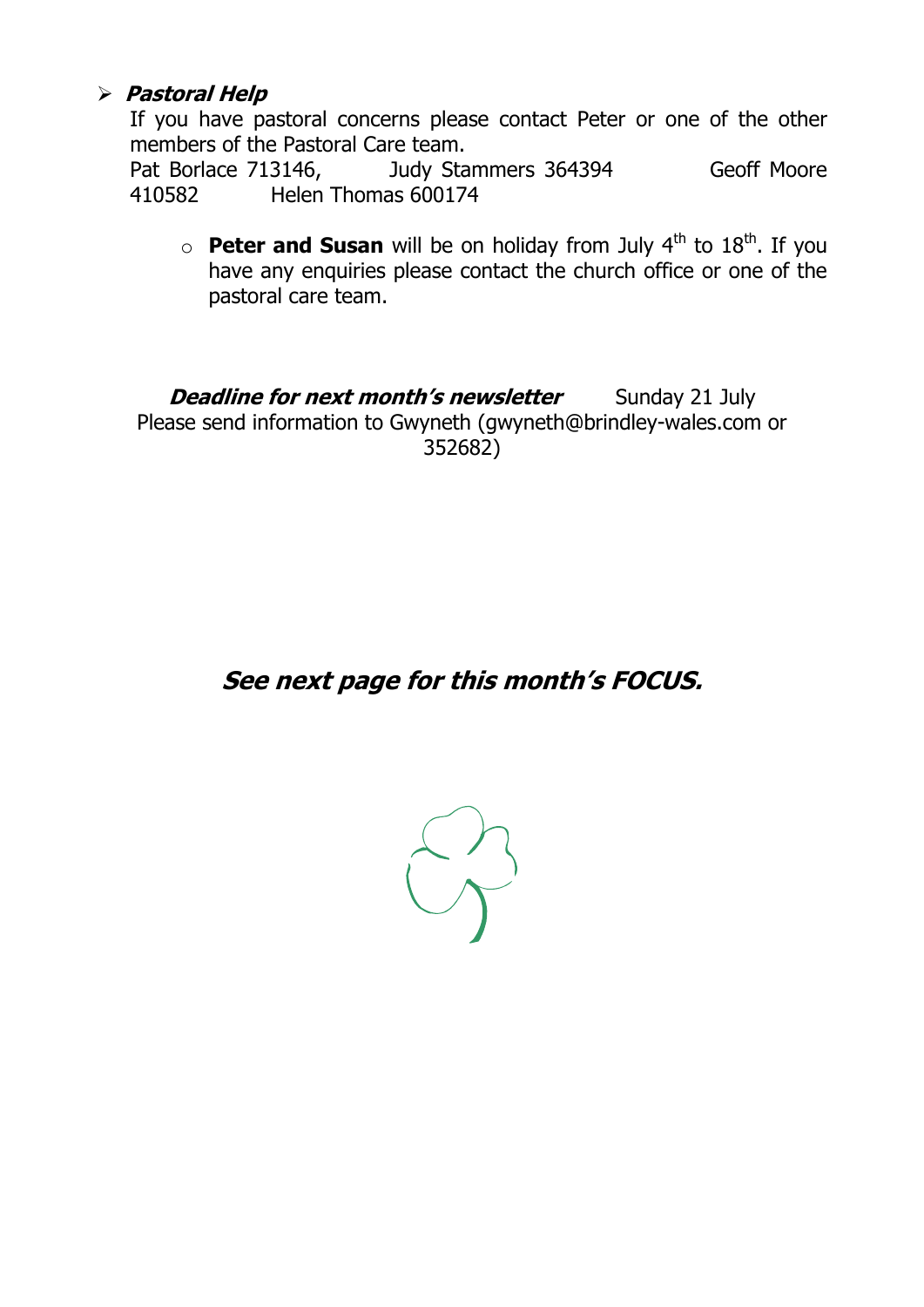### **Pastoral Help**

If you have pastoral concerns please contact Peter or one of the other members of the Pastoral Care team.

Pat Borlace 713146, Judy Stammers 364394 Geoff Moore 410582 Helen Thomas 600174

 $\circ$  **Peter and Susan** will be on holiday from July 4<sup>th</sup> to 18<sup>th</sup>. If you have any enquiries please contact the church office or one of the pastoral care team.

**Deadline for next month's newsletter** Sunday 21 July Please send information to Gwyneth [\(gwyneth@brindley-wales.com](mailto:gwyneth@brindley-wales.com) or 352682)

## **See next page for this month's FOCUS.**